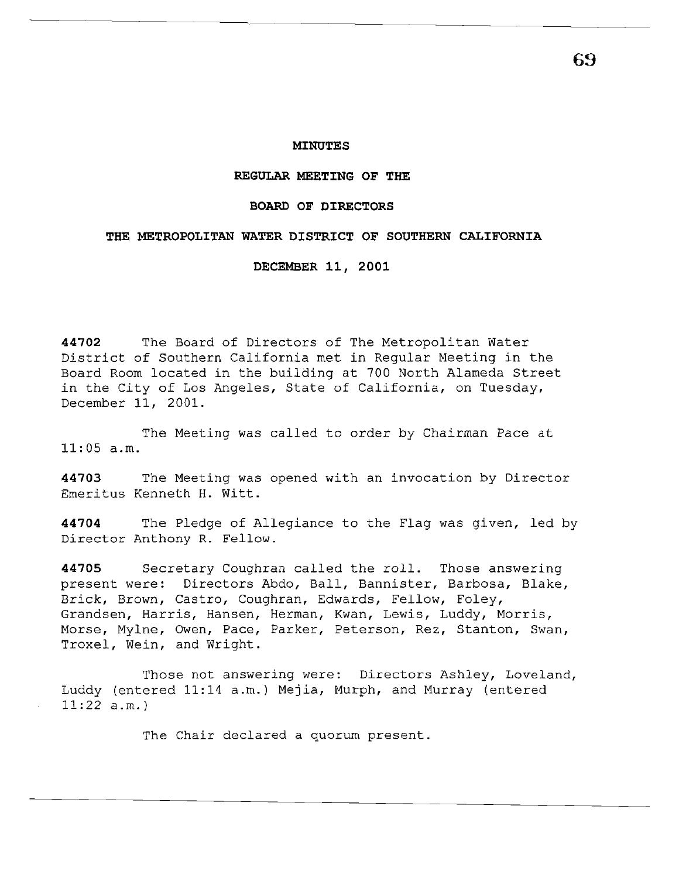## **MINUTES**

#### **REGULAR MEETING OF THE**

#### **BOARD OF DIRECTORS**

### **THE METROPOLITAN WATER DISTRICT OF SOUTHERN CALIFORNIA**

**DECEMBER 11, 2001** 

**44702** The Board of Directors of The Metropolitan Water District of Southern California met in Regular Meeting in the Board Room located in the building at 700 North Alameda Street in the City of Los Angeles, State of California, on Tuesday, December 11, 2001.

The Meeting was called to order by Chairman Pace at 11:05 a.m.

**44703** The Meeting was opened with an invocation by Director Emeritus Kenneth H. Witt.

**44704** The Pledge of Allegiance to the Flag was given, led by Director Anthony R. Fellow.

**44705** Secretary Coughran called the roll. Those answering present were: Directors Abdo, Ball, Bannister, Barbosa, Blake, Brick, Brown, Castro, Coughran, Edwards, Fellow, Foley, Grandsen, Harris, Hansen, Herman, Kwan, Lewis, Luddy, Morris, Morse, Mylne, Owen, Pace, Parker, Peterson, Rez, Stanton, Swan, Troxel, Wein, and Wright.

Those not answering were: Directors Ashley, Loveland, Luddy (entered 11:14 a.m.) Mejia, Murph, and Murray (entered 11:22 a.m.)

The Chair declared a quorum present.

**69**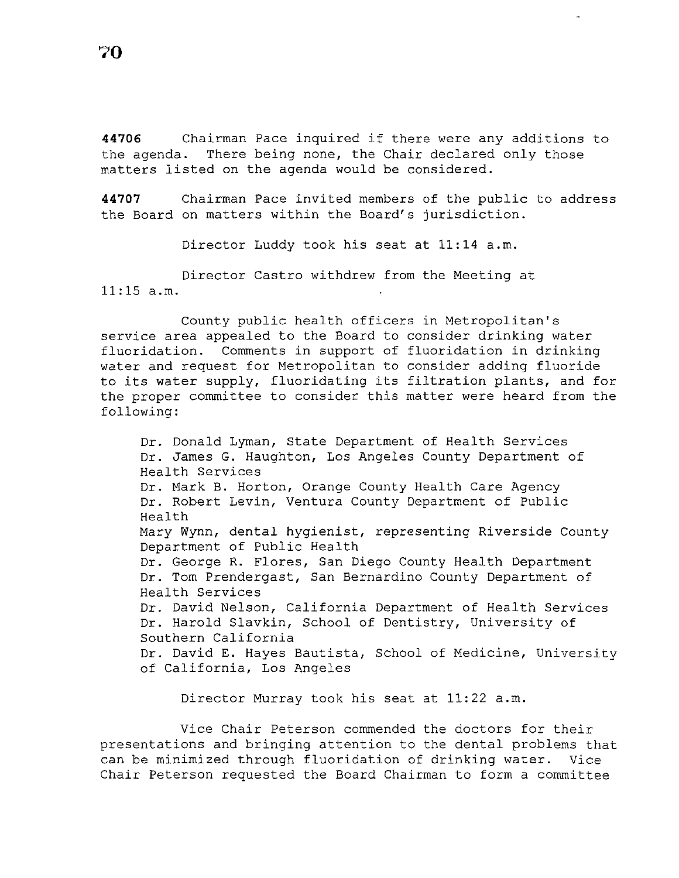**70** 

**<sup>44706</sup>**Chairman Pace inquired if there were any additions to the agenda. There being none, the Chair declared only those matters listed on the agenda would be considered.

**44707** Chairman Pace invited members of the public to address the Board on matters within the Board's jurisdiction.

Director Luddy took his seat at 11:14 a.m.

Director Castro withdrew from the Meeting at 11:15 a.m.

County public health officers in Metropolitan's service area appealed to the Board to consider drinking water fluoridation. Comments in support of fluoridation in drinking water and request for Metropolitan to consider adding fluoride to its water supply, fluoridating its filtration plants, and for the proper committee to consider this matter were heard from the following:

Dr. Donald Lyman, State Department of Health Services Dr. James G. Haughton, Los Angeles County Department of Health Services Dr. Mark B. Horton, Orange County Health Care Agency Dr. Robert Levin, Ventura County Department of Public Health Mary Wynn, dental hygienist, representing Riverside County Department of Public Health Dr. George R. Flores, San Diego County Health Department Dr. Tom Prendergast, San Bernardino County Department of Health Services Dr. David Nelson, California Department of Health Services Dr. Harold Slavkin, School of Dentistry, University of Southern California Dr. David E. Hayes Bautista, School of Medicine, University of California, Los Angeles

Director Murray took his seat at 11:22 a.m.

Vice Chair Peterson commended the doctors for their presentations and bringing attention to the dental problems that can be minimized through fluoridation of drinking water. Vice Chair Peterson requested the Board Chairman to form a committee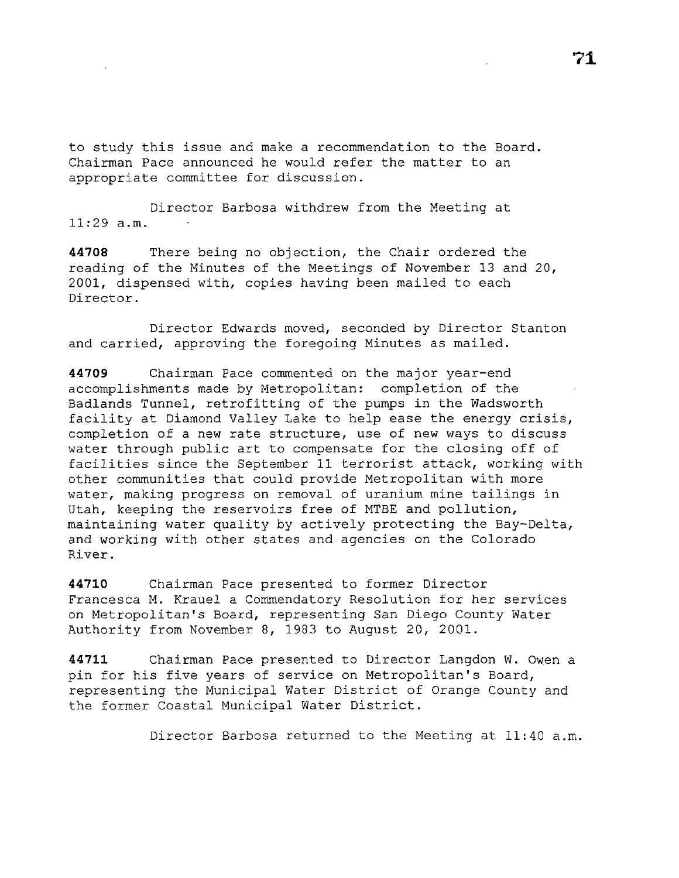to study this issue and make a recommendation to the Board. Chairman Pace announced he would refer the matter to an appropriate committee for discussion.

Director Barbosa withdrew from the Meeting at  $11:29$  a.m.

**44708** There being no objection, the Chair ordered the reading of the Minutes of the Meetings of November 13 and 20, 2001, dispensed with, copies having been mailed to each Director.

Director Edwards moved, seconded by Director Stanton and carried, approving the foregoing Minutes as mailed.

**44709** Chairman Pace commented on the major year-end accomplishments made by Metropolitan: completion of the Badlands Tunnel, retrofitting of the pumps in the Wadsworth facility at Diamond Valley Lake to help ease the energy crisis, completion of a new rate structure, use of new ways to discuss water through public art to compensate for the closing off of facilities since the September 11 terrorist attack, working with other communities that could provide Metropolitan with more water, making progress on removal of uranium mine tailings in Utah, keeping the reservoirs free of MTBE and pollution, maintaining water quality by actively protecting the Bay-Delta, and working with other states and agencies on the Colorado River.

**44710** Chairman Pace presented to former Director Francesca M. Krauel a Commendatory Resolution for her services on Metropolitan's Board, representing San Diego County Water Authority from November 8, 1983 to August 20, 2001.

**44711** Chairman Pace presented to Director Langdon W. Owen a pin for his five years of service on Metropolitan's Board, representing the Municipal Water District of Orange County and the former Coastal Municipal Water District.

Director Barbosa returned to the Meeting at 11:40 a.m.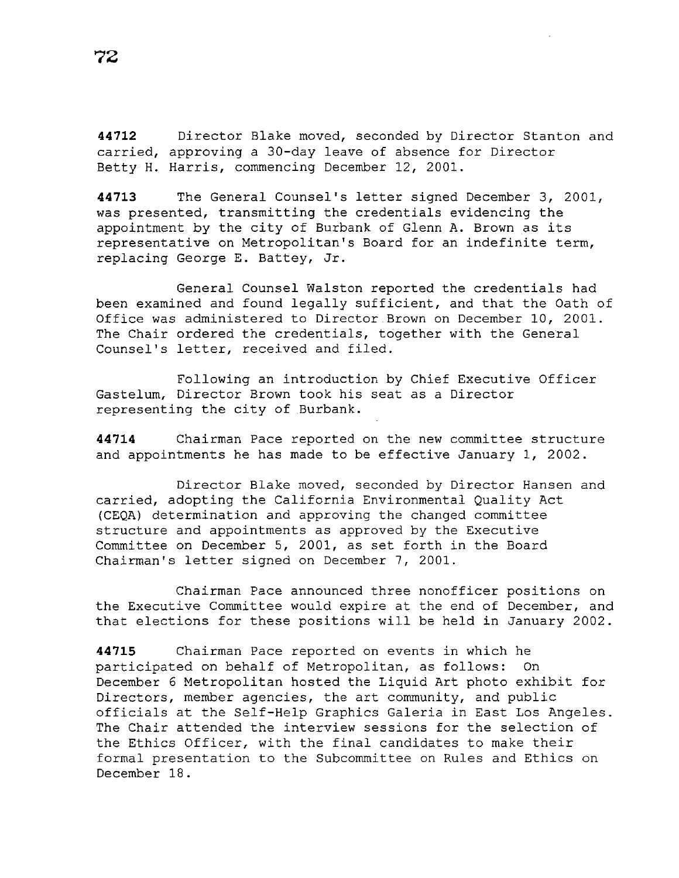**44712** Director Blake moved, seconded by Director Stanton and carried, approving a 30-day leave of absence for Director Betty H. Harris, commencing December 12, 2001.

**44713** The General Counsel's letter signed December 3, 2001, was presented, transmitting the credentials evidencing the appointment by the city of Burbank of Glenn A. Brown as its representative on Metropolitan's Board for an indefinite term, replacing George E. Battey, Jr.

General Counsel Walston reported the credentials had been examined and found legally sufficient, and that the Oath of Office was administered to Director.Brown on December 10, 2001. The Chair ordered the credentials, together with the General Counsel's letter, received and filed.

Following an introduction by Chief Executive Officer Gastelum, Director Brown took his seat as a Director representing the city of .Burbank.

**44714** Chairman Pace reported on the new committee structure and appointments he has made to be effective January 1, 2002.

Director Blake moved, seconded by Director Hansen and carried, adopting the California Environmental Quality Act (CEQA) determination and approving the changed committee structure and appointments as approved by the Executive Committee on December 5, 2001, as set forth in the Board Chairman's letter signed on December 7, 2001.

Chairman Pace announced three nonofficer positions on the Executive Committee would expire at the end of December, and that elections for these positions will be held in January 2002.

**44715** Chairman Pace reported on events in which he participated on behalf of Metropolitan, as follows: On December 6 Metropolitan hosted the Liquid Art photo exhibit for Directors, member agencies, the art community, and public officials at the Self-Help Graphics Galeria in East Los Angeles. The Chair attended the interview sessions for the selection of the Ethics Officer, with the final candidates to make their formal presentation to the Subcommittee on Rules and Ethics on December 18.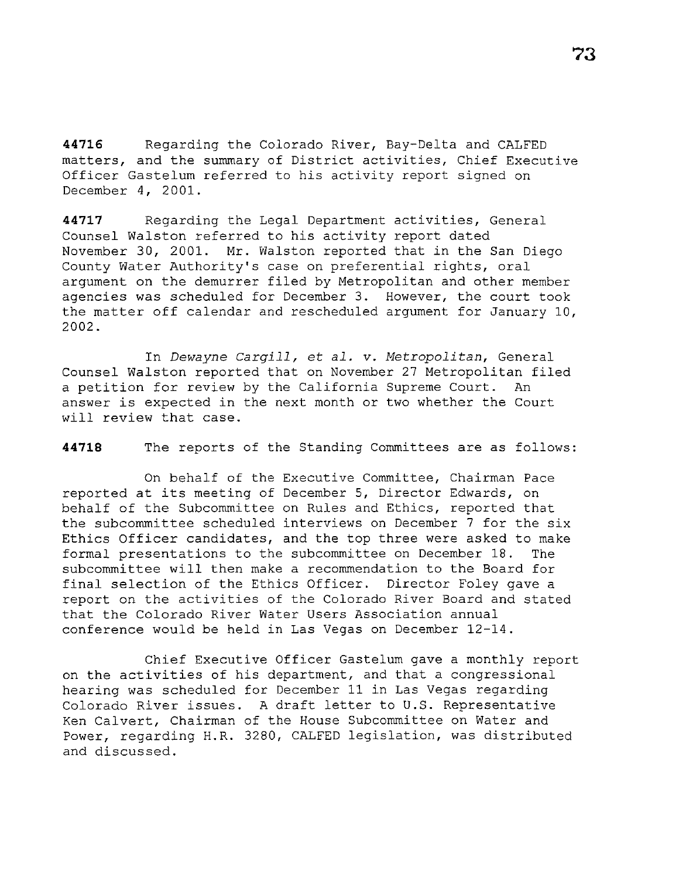**44716** Regarding the Colorado River, Bay-Delta and CALFED matters, and the summary of District activities, Chief Executive Officer Gastelum referred to his activity report signed on December 4, 2001.

**44717** Regarding the Legal Department activities, General Counsel Walston referred to his activity report dated November 30, 2001. Mr. Walston reported that in the San Diego County Water Authority's case on preferential rights, oral argument on the demurrer filed by Metropolitan and other member agencies was scheduled for December 3. However, the court took the matter off calendar and rescheduled argument for January 10, 2002.

In *Dewayne Cargill,* et *al.* v. *Metropolitan,* General Counsel Walston reported that on November 27 Metropolitan filed a petition for review by the California Supreme Court. An answer is expected in the next month or two whether the Court will review that case.

**44718** The reports of the Standing Committees are as follows:

On behalf of the Executive Committee, Chairman Pace reported at its meeting of December 5, Director Edwards, on behalf of the Subcommittee on Rules and Ethics, reported that the subcommittee scheduled interviews on December 7 for the six Ethics Officer candidates, and the top three were asked to make formal presentations to the subcommittee on December 18. The subcommittee will then make a recommendation to the Board for final selection of the Ethics Officer. Director Foley gave a report on the activities of the Colorado River Board and stated that the Colorado River Water Users Association annual conference would be held in Las Vegas on December 12-14.

Chief Executive Officer Gastelum gave a monthly report on the activities of his department, and that a congressional hearing was scheduled for December 11 in Las Vegas regarding Colorado River issues. A draft letter to U.S. Representative Ken Calvert, Chairman of the House Subcommittee on Water and Power, regarding H.R. 3280, CALFED legislation, was distributed and discussed.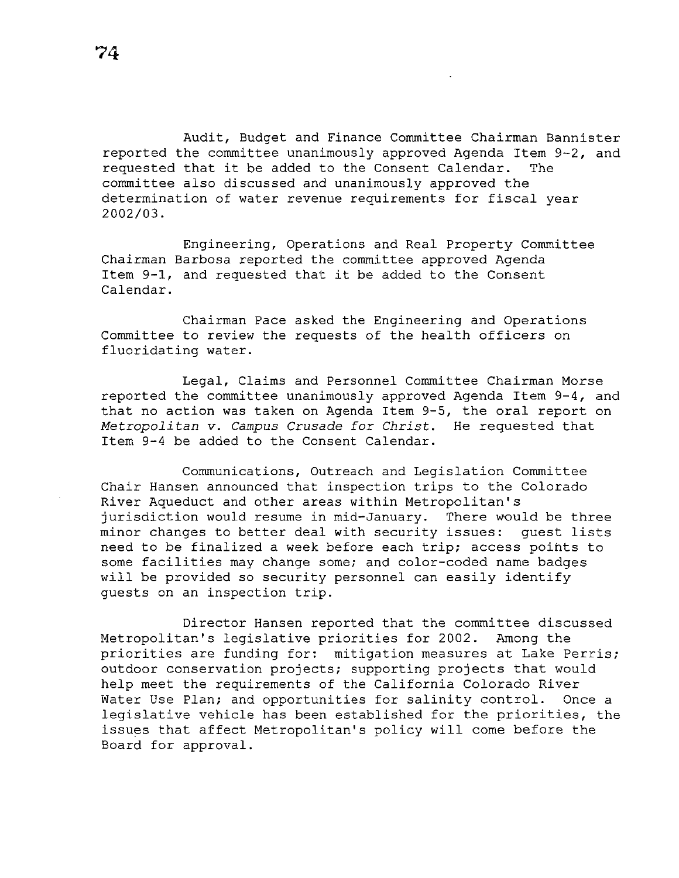Audit, Budget and Finance Committee Chairman Bannister reported the committee unanimously approved Agenda Item 9-2, and requested that it be added to the Consent Calendar. The committee also discussed and unanimously approved the determination of water revenue requirements for fiscal year 2002/03.

Engineering, Operations and Real Property Committee Chairman Barbosa reported the committee approved Agenda Item 9-1, and requested that it be added to the Consent Calendar.

Chairman Pace asked the Engineering and Operations Committee to review the requests of the health officers on fluoridating water.

Legal, Claims and Personnel Committee Chairman Morse reported the committee unanimously approved Agenda Item 9-4, and that no action was taken on Agenda Item 9-5, the oral report on *Metropolitan* v. *Campus Crusade for Christ.* He requested that Item 9-4 be added to the Consent Calendar.

Communications, Outreach and Legislation Committee Chair Hansen announced that inspection trips to the Colorado River Aqueduct and other areas within Metropolitan's jurisdiction would resume in mid-January. There would be three minor changes to better deal with security issues: guest lists need to be finalized a week before each trip; access points to some facilities may change some; and color-coded name badges will be provided so security personnel can easily identify guests on an inspection trip.

Director Hansen reported that the committee discussed Metropolitan's legislative priorities for 2002. Among the priorities are funding for: mitigation measures at Lake Perris; outdoor conservation projects; supporting projects that would help meet the requirements of the California Colorado River Water Use Plan; and opportunities for salinity control. Once a legislative vehicle has been established for the priorities, the issues that affect Metropolitan's policy will come before the Board for approval.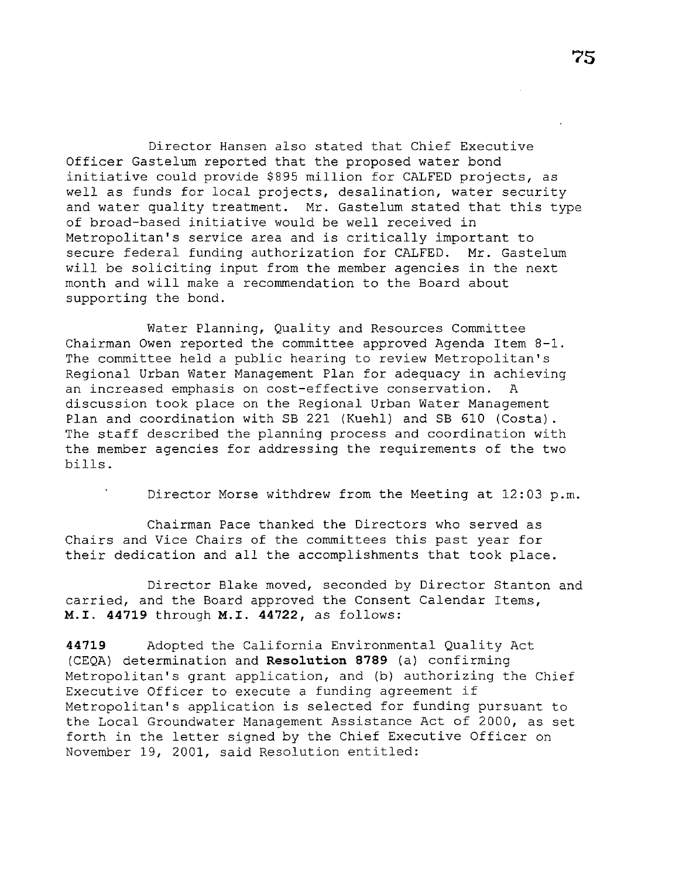Director Hansen also stated that Chief Executive Officer Gastelum reported that the proposed water bond initiative could provide \$895 million for CALFED projects, as well as funds for local projects, desalination, water security and water quality treatment. Mr. Gastelum stated that this type of broad-based initiative would be well received in Metropolitan's service area and is critically important to secure federal funding authorization for CALFED. Mr. Gastelum will be soliciting input from the member agencies in the next month and will make a recommendation to the Board about supporting the bond.

Water Planning, Quality and Resources Committee Chairman Owen reported the committee approved Agenda Item 8-1. The committee held a public hearing to review Metropolitan's Regional Urban Water Management Plan for adequacy in achieving an increased emphasis on cost-effective conservation. A discussion took place on the Regional Urban Water Management Plan and coordination with SB 221 (Kuehl) and SB 610 (Costa) . The staff described the planning process and coordination with the member agencies for addressing the requirements of the two bills.

Director Morse withdrew from the Meeting at 12:03 p.m.

Chairman Pace thanked the Directors who served as Chairs and Vice Chairs of the committees this past year for their dedication and all the accomplishments that took place.

Director Blake moved, seconded by Director Stanton and carried, and the Board approved the Consent Calendar Items, **M.I. 44719** through M.I. **44722,** as follows:

**44719** Adopted the California Environmental Quality Act (CEQA) determination and **Resolution 8789** (a) confirming Metropolitan's grant application, and (b) authorizing the Chief Executive Officer to execute a funding agreement if Metropolitan's application is selected for funding pursuant to the Local Groundwater Management Assistance Act of 2000, as set forth in the letter signed by the Chief Executive Officer on November 19, 2001, said Resolution entitled: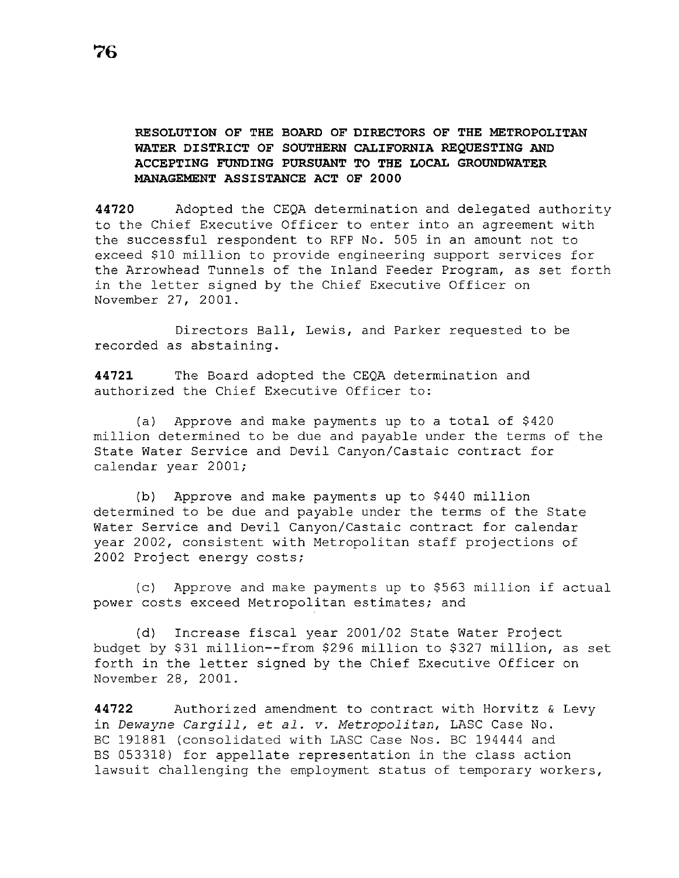# **RESOLUTION OF THE BOARD OF DIRECTORS OF THE METROPOLITAN WATER DISTRICT OF SOUTHERN CALIFORNIA REQUESTING AND ACCEPTING FUNDING PURSUANT TO THE LOCAL GROUNDWATER MANAGEMENT ASSISTANCE ACT OF 2000**

**44720** Adopted the CEQA determination and delegated authority to the Chief Executive Officer to enter into an agreement with the successful respondent to RFP No. 505 in an amount not to exceed \$10 million to provide engineering support services for the Arrowhead Tunnels of the Inland Feeder Program, as set forth in the letter signed by the Chief Executive Officer on November 27, 2001.

Directors Ball, Lewis, and Parker requested to be recorded as abstaining.

**44721** The Board adopted the CEQA determination and authorized the Chief Executive Officer to:

(a) Approve and make payments up to a total of \$420 million determined to be due and payable under the terms of the State Water Service and Devil Canyon/Castaic contract for calendar year 2001;

(b) Approve and make payments up to \$440 million determined to be due and payable under the terms of the State Water Service and Devil Canyon/Castaic contract for calendar year 2002, consistent with Metropolitan staff projections of 2002 Project energy costs;

(c) Approve and make payments up to \$563 million if actual power costs exceed Metropolitan estimates; and

(d) Increase fiscal year 2001/02 State Water Project budget by \$31 million--from \$296 million to \$327 million, as set forth in the letter signed by the Chief Executive Officer on November 28, 2001.

**44722** Authorized amendment to contract with Horvitz & Levy in *Dewayne Cargill,* et *al. v. Metropolitan,* LASC Case No. BC 191881 (consolidated with LASC Case Nos. BC 194444 and BS 053318) for appellate representation in the class action lawsuit challenging the employment status of temporary workers,